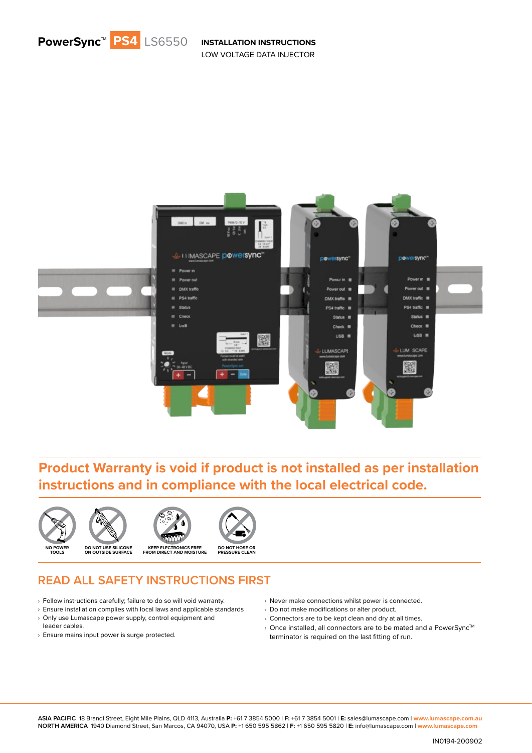



#### **Product Warranty is void if product is not installed as per installation instructions and in compliance with the local electrical code.**



#### **READ ALL SAFETY INSTRUCTIONS FIRST**

- $\rightarrow$  Follow instructions carefully; failure to do so will void warranty.
- $\rightarrow$  Ensure installation complies with local laws and applicable standards
- $\rightarrow$  Only use Lumascape power supply, control equipment and leader cables.
- › Ensure mains input power is surge protected.
- › Never make connections whilst power is connected.
- › Do not make modifications or alter product.
- $\rightarrow$  Connectors are to be kept clean and dry at all times.
- $\rightarrow$  Once installed, all connectors are to be mated and a PowerSync<sup>TM</sup> terminator is required on the last fitting of run.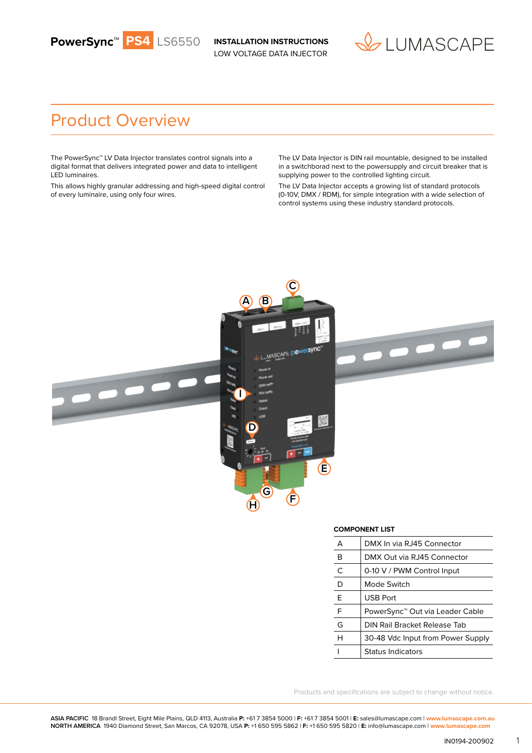



### Product Overview

The PowerSync™ LV Data Injector translates control signals into a digital format that delivers integrated power and data to intelligent LED luminaires.

This allows highly granular addressing and high-speed digital control of every luminaire, using only four wires.

The LV Data Injector is DIN rail mountable, designed to be installed in a switchborad next to the powersupply and circuit breaker that is supplying power to the controlled lighting circuit.

The LV Data Injector accepts a growing list of standard protocols (0-10V, DMX / RDM), for simple integration with a wide selection of control systems using these industry standard protocols.



|   | <b>COMPONENT LIST</b> |                                             |  |
|---|-----------------------|---------------------------------------------|--|
| А |                       | DMX In via RJ45 Connector                   |  |
|   | в                     | DMX Out via RJ45 Connector                  |  |
|   | C                     | 0-10 V / PWM Control Input                  |  |
|   | D                     | Mode Switch                                 |  |
|   | Е                     | <b>USB Port</b>                             |  |
|   | F                     | PowerSync <sup>™</sup> Out via Leader Cable |  |
|   | G                     | DIN Rail Bracket Release Tab                |  |
|   | н                     | 30-48 Vdc Input from Power Supply           |  |
|   |                       | <b>Status Indicators</b>                    |  |

Products and specifications are subject to change without notice.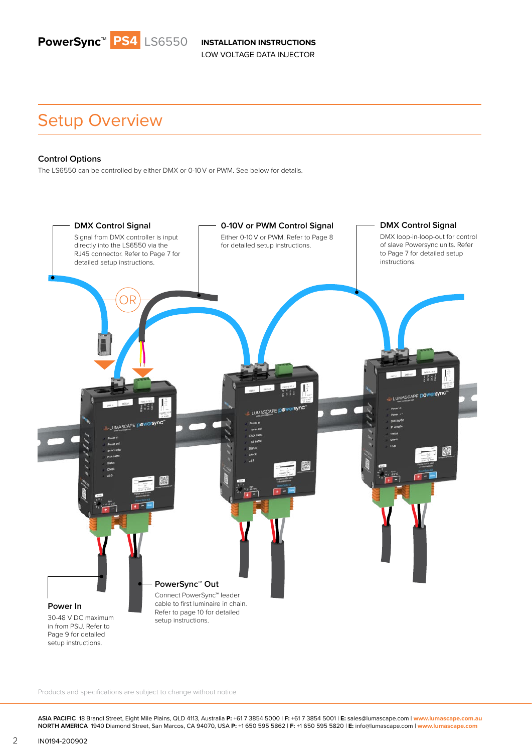

### Setup Overview

#### **Control Options**

The LS6550 can be controlled by either DMX or 0-10 V or PWM. See below for details.



Products and specifications are subject to change without notice.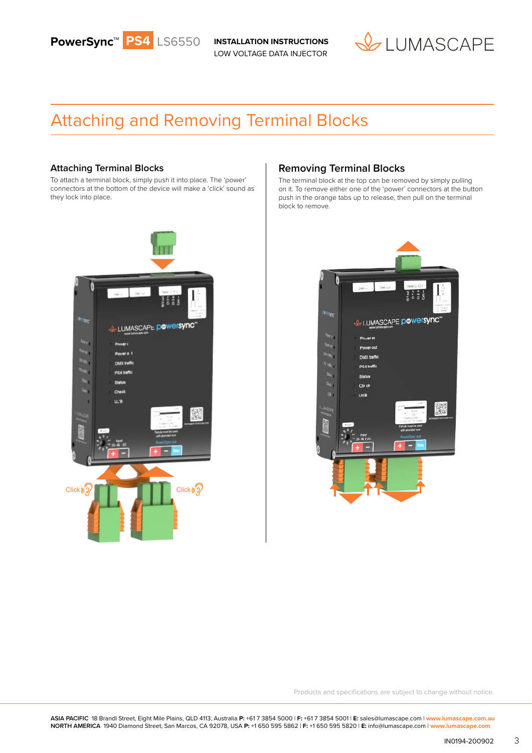



### Attaching and Removing Terminal Blocks

#### **Attaching Terminal Blocks**

To attach a terminal block, simply push it into place. The 'power' connectors at the bottom of the device will make a 'click' sound as they lock into place.



#### **Removing Terminal Blocks**

The terminal block at the top can be removed by simply pulling on it. To remove either one of the 'power' connectors at the button push in the orange tabs up to release, then pull on the terminal block to remove.



Products and specifications are subject to change without notice.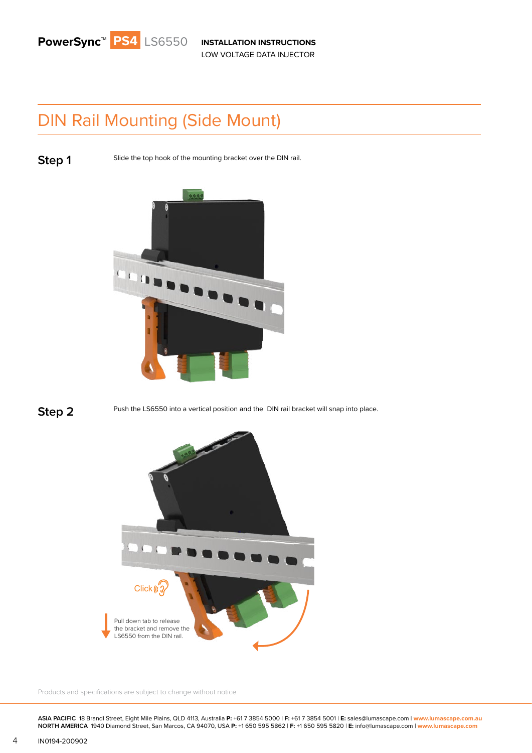# DIN Rail Mounting (Side Mount)

**Step 1** Slide the top hook of the mounting bracket over the DIN rail.





**Step 2** Push the LS6550 into a vertical position and the DIN rail bracket will snap into place.



Products and specifications are subject to change without notice.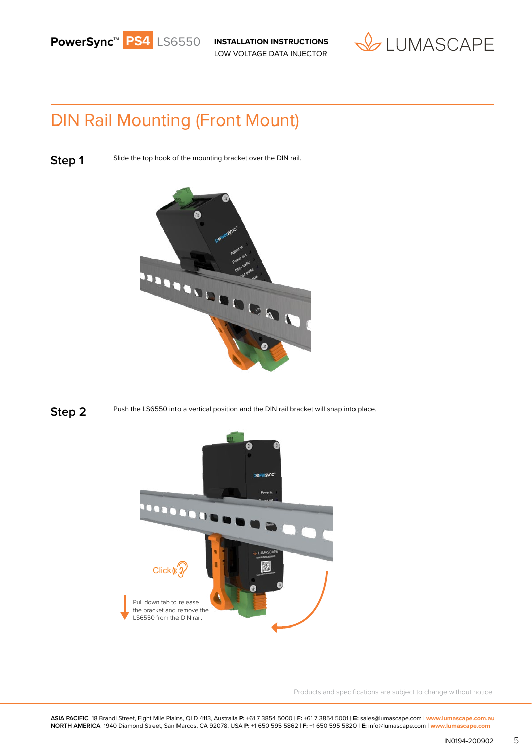



## DIN Rail Mounting (Front Mount)

**Step 1** Slide the top hook of the mounting bracket over the DIN rail.







Products and specifications are subject to change without notice.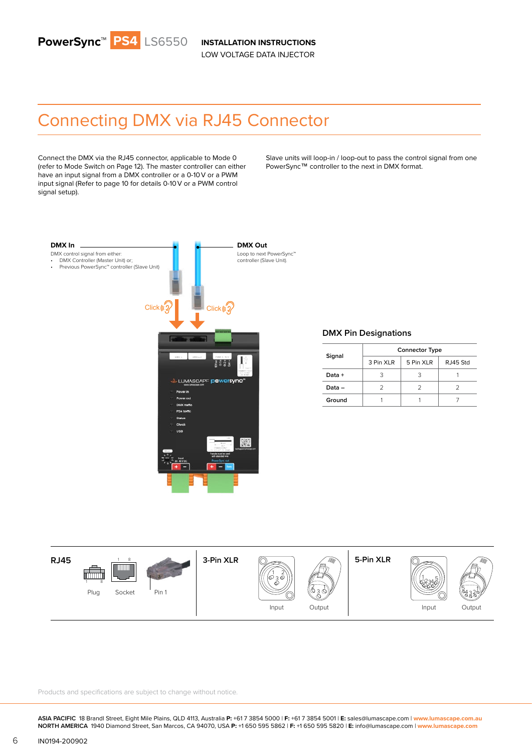

## Connecting DMX via RJ45 Connector

Connect the DMX via the RJ45 connector, applicable to Mode 0 (refer to Mode Switch on Page 12). The master controller can either have an input signal from a DMX controller or a 0-10 V or a PWM input signal (Refer to page 10 for details 0-10 V or a PWM control signal setup).

Slave units will loop-in / loop-out to pass the control signal from one PowerSync™ controller to the next in DMX format.



#### **DMX Pin Designations**

|          | <b>Connector Type</b> |           |          |
|----------|-----------------------|-----------|----------|
| Signal   | 3 Pin XLR             | 5 Pin XLR | RJ45 Std |
| Data +   |                       |           |          |
| $Data -$ |                       |           |          |
| Ground   |                       |           |          |



Products and specifications are subject to change without notice.

**ASIA PACIFIC** 18 Brandl Street, Eight Mile Plains, QLD 4113, Australia **P:** +61 7 3854 5000 | **F:** +61 7 3854 5001 | **E:** sales@lumascape.com | **www.lumascape.com.au NORTH AMERICA** 1940 Diamond Street, San Marcos, CA 94070, USA **P:** +1 650 595 5862 | **F:** +1 650 595 5820 | **E:** info@lumascape.com | **www.lumascape.com**

1 8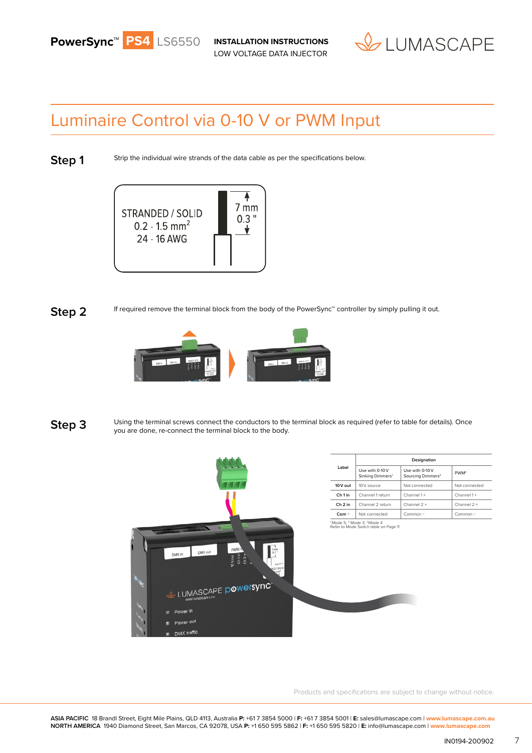



### Luminaire Control via 0-10 V or PWM Input

**Step 1**

Strip the individual wire strands of the data cable as per the specifications below.



#### **Step 2**

If required remove the terminal block from the body of the PowerSync™ controller by simply pulling it out.



Using the terminal screws connect the conductors to the terminal block as required (refer to table for details). Once you are done, re-connect the terminal block to the body. **Step 3**



Products and specifications are subject to change without notice.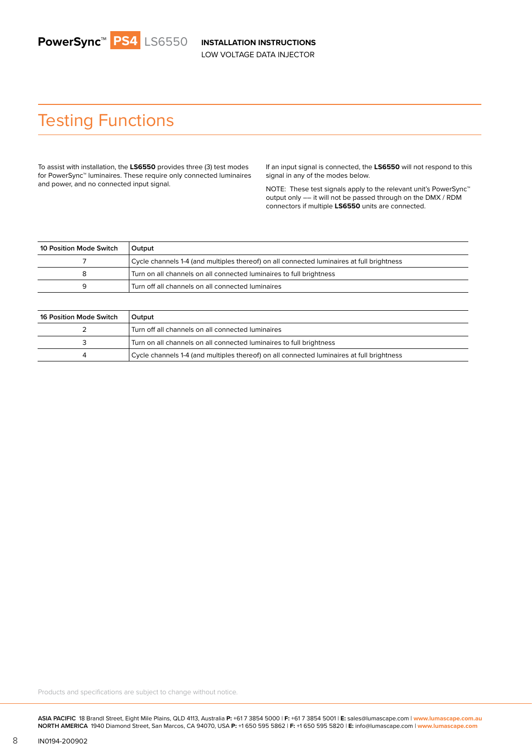## Testing Functions

To assist with installation, the **LS6550** provides three (3) test modes for PowerSync™ luminaires. These require only connected luminaires and power, and no connected input signal.

If an input signal is connected, the **LS6550** will not respond to this signal in any of the modes below.

NOTE: These test signals apply to the relevant unit's PowerSync<sup>™</sup> output only –– it will not be passed through on the DMX / RDM connectors if multiple **LS6550** units are connected.

| 10 Position Mode Switch | Output                                                                                    |
|-------------------------|-------------------------------------------------------------------------------------------|
|                         | Cycle channels 1-4 (and multiples thereof) on all connected luminaires at full brightness |
|                         | Turn on all channels on all connected luminaires to full brightness                       |
| a                       | Turn off all channels on all connected luminaires                                         |

| 16 Position Mode Switch | Output                                                                                    |
|-------------------------|-------------------------------------------------------------------------------------------|
|                         | Turn off all channels on all connected luminaires                                         |
|                         | Turn on all channels on all connected luminaires to full brightness                       |
|                         | Cycle channels 1-4 (and multiples thereof) on all connected luminaires at full brightness |

Products and specifications are subject to change without notice.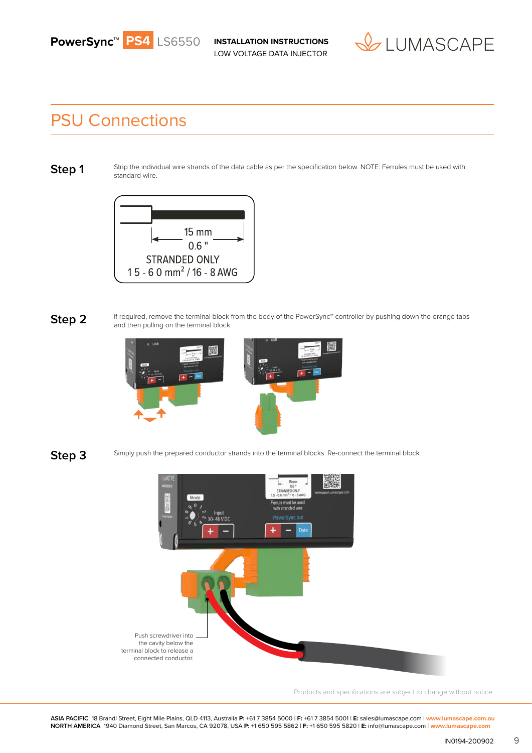



### PSU Connections

**Step 1**

Strip the individual wire strands of the data cable as per the specification below. NOTE: Ferrules must be used with standard wire.



If required, remove the terminal block from the body of the PowerSync™ controller by pushing down the orange tabs and then pulling on the terminal block. **Step 2**





Simply push the prepared conductor strands into the terminal blocks. Re-connect the terminal block.



Products and specifications are subject to change without notice.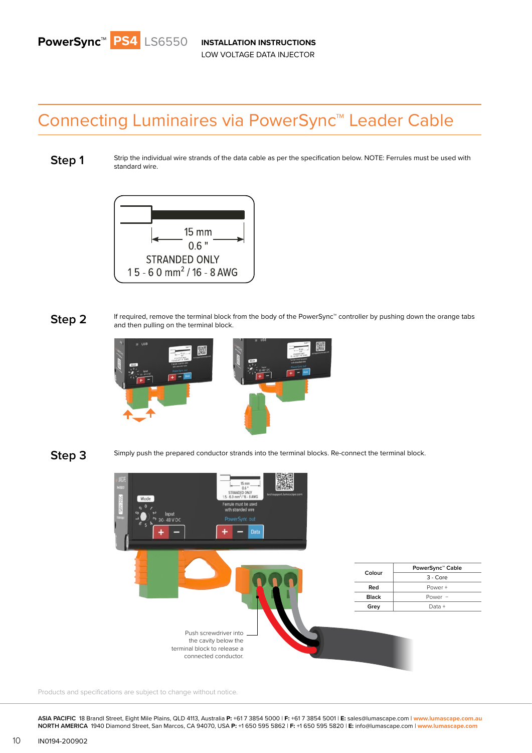# Connecting Luminaires via PowerSync™ Leader Cable

**Step 1**

Strip the individual wire strands of the data cable as per the specification below. NOTE: Ferrules must be used with standard wire.



If required, remove the terminal block from the body of the PowerSync™ controller by pushing down the orange tabs and then pulling on the terminal block. **Step 2**





Simply push the prepared conductor strands into the terminal blocks. Re-connect the terminal block.



Products and specifications are subject to change without notice.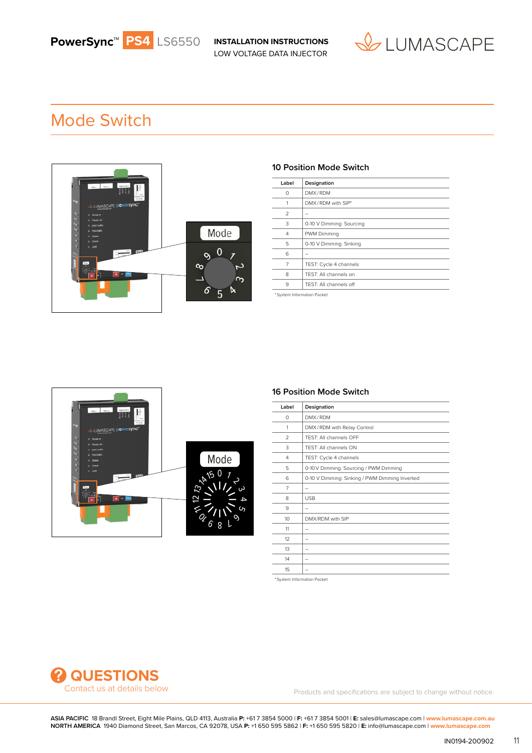

## Mode Switch



#### **10 Position Mode Switch**

| Label                      | Designation              |  |
|----------------------------|--------------------------|--|
| 0                          | DMX/RDM                  |  |
| 1                          | DMX/RDM with SIP*        |  |
| 2                          |                          |  |
| 3                          | 0-10 V Dimming: Sourcing |  |
| 4                          | PWM Dimming              |  |
| 5                          | 0-10 V Dimming: Sinking  |  |
| 6                          | -                        |  |
| 7                          | TEST: Cycle 4 channels   |  |
| 8                          | TEST: All channels on    |  |
| 9                          | TEST: All channels off   |  |
| *System Information Packet |                          |  |

Mode د 1<br>د دى 4 5  $6.8$  L  $^{\circ}$  $\boldsymbol{Q}$ 12 M 13 14 15

#### **16 Position Mode Switch**

| Label           | Designation                                    |
|-----------------|------------------------------------------------|
| $\Omega$        | DMX/RDM                                        |
| 1               | DMX/RDM with Relay Control                     |
| $\mathfrak{D}$  | TEST: All channels OFF                         |
| 3               | TEST: All channels ON                          |
| 4               | TEST: Cycle 4 channels                         |
| 5               | 0-10 V Dimming: Sourcing / PWM Dimming         |
| 6               | 0-10 V Dimming: Sinking / PWM Dimming Inverted |
| 7               | -                                              |
| 8               | <b>USB</b>                                     |
| 9               | -                                              |
| 10 <sup>2</sup> | DMX/RDM with SIP                               |
| 11              | $\overline{\phantom{0}}$                       |
| 12              |                                                |
| 13              | -                                              |
| 14              | $\overline{\phantom{0}}$                       |
| 15              |                                                |

\* System Information Packet



Contact us at details below extending the products and specifications are subject to change without notice.